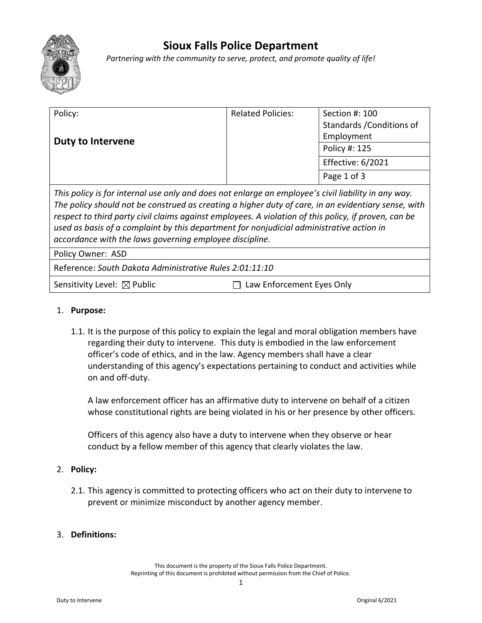

# **Sioux Falls Police Department**

*Partnering with the community to serve, protect, and promote quality of life!*

| Policy:                                                                           | <b>Related Policies:</b> | Section #: 100            |
|-----------------------------------------------------------------------------------|--------------------------|---------------------------|
| <b>Duty to Intervene</b>                                                          |                          | Standards / Conditions of |
|                                                                                   |                          | Employment                |
|                                                                                   |                          | Policy #: 125             |
|                                                                                   |                          | Effective: 6/2021         |
|                                                                                   |                          | Page 1 of 3               |
| 美しち こうれい けっぱい けいしょうしょう しょうほう いっぱ はいこう いいしょうし いっこう いっこうしょう だんこけ けいしけい けいこうしょう こうこう |                          |                           |

*This policy is for internal use only and does not enlarge an employee's civil liability in any way. The policy should not be construed as creating a higher duty of care, in an evidentiary sense, with respect to third party civil claims against employees. A violation of this policy, if proven, can be used as basis of a complaint by this department for nonjudicial administrative action in accordance with the laws governing employee discipline.*

Policy Owner: ASD

Reference: *South Dakota Administrative Rules 2:01:11:10*

Sensitivity Level:  $\boxtimes$  Public  $\Box$  Law Enforcement Eyes Only

## 1. **Purpose:**

1.1. It is the purpose of this policy to explain the legal and moral obligation members have regarding their duty to intervene. This duty is embodied in the law enforcement officer's code of ethics, and in the law. Agency members shall have a clear understanding of this agency's expectations pertaining to conduct and activities while on and off-duty.

A law enforcement officer has an affirmative duty to intervene on behalf of a citizen whose constitutional rights are being violated in his or her presence by other officers.

Officers of this agency also have a duty to intervene when they observe or hear conduct by a fellow member of this agency that clearly violates the law.

## 2. **Policy:**

2.1. This agency is committed to protecting officers who act on their duty to intervene to prevent or minimize misconduct by another agency member.

## 3. **Definitions:**

This document is the property of the Sioux Falls Police Department. Reprinting of this document is prohibited without permission from the Chief of Police.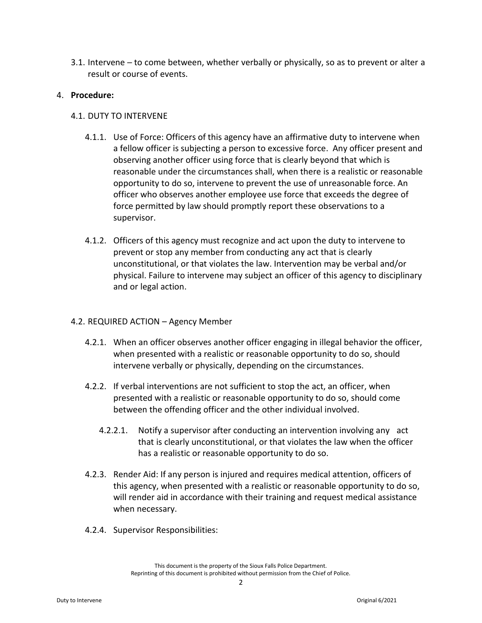3.1. Intervene – to come between, whether verbally or physically, so as to prevent or alter a result or course of events.

## 4. **Procedure:**

## 4.1. DUTY TO INTERVENE

- 4.1.1. Use of Force: Officers of this agency have an affirmative duty to intervene when a fellow officer is subjecting a person to excessive force. Any officer present and observing another officer using force that is clearly beyond that which is reasonable under the circumstances shall, when there is a realistic or reasonable opportunity to do so, intervene to prevent the use of unreasonable force. An officer who observes another employee use force that exceeds the degree of force permitted by law should promptly report these observations to a supervisor.
- 4.1.2. Officers of this agency must recognize and act upon the duty to intervene to prevent or stop any member from conducting any act that is clearly unconstitutional, or that violates the law. Intervention may be verbal and/or physical. Failure to intervene may subject an officer of this agency to disciplinary and or legal action.

## 4.2. REQUIRED ACTION – Agency Member

- 4.2.1. When an officer observes another officer engaging in illegal behavior the officer, when presented with a realistic or reasonable opportunity to do so, should intervene verbally or physically, depending on the circumstances.
- 4.2.2. If verbal interventions are not sufficient to stop the act, an officer, when presented with a realistic or reasonable opportunity to do so, should come between the offending officer and the other individual involved.
	- 4.2.2.1. Notify a supervisor after conducting an intervention involving any act that is clearly unconstitutional, or that violates the law when the officer has a realistic or reasonable opportunity to do so.
- 4.2.3. Render Aid: If any person is injured and requires medical attention, officers of this agency, when presented with a realistic or reasonable opportunity to do so, will render aid in accordance with their training and request medical assistance when necessary.
- 4.2.4. Supervisor Responsibilities: